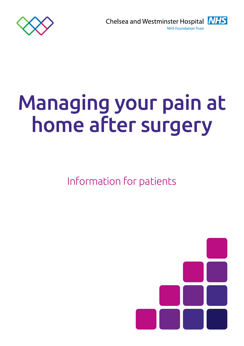

**INHS** Chelsea and Westminster Hospital **NHS Foundation Trust** 

# Managing your pain at home after surgery

Information for patients

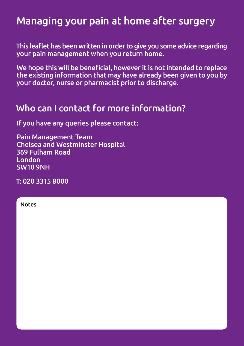# Managing your pain at home after surgery

This leaflet has been written in order to give you some advice regarding your pain management when you return home.

We hope this will be beneficial, however it is not intended to replace the existing information that may have already been given to you by your doctor, nurse or pharmacist prior to discharge.

### Who can I contact for more information?

If you have any queries please contact:

Pain Management Team Chelsea and Westminster Hospital 369 Fulham Road London SW10 9NH

T: 020 3315 8000

| ۷<br>١<br>n<br>۰.<br>۹<br>I |
|-----------------------------|
|-----------------------------|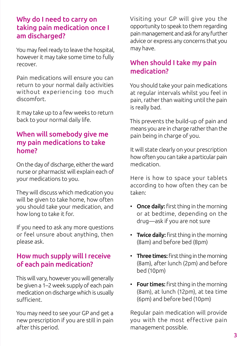#### Why do I need to carry on taking pain medication once I am discharged?

You may feel ready to leave the hospital, however it may take some time to fully recover.

Pain medications will ensure you can return to your normal daily activities without experiencing too much discomfort.

It may take up to a few weeks to return back to your normal daily life.

#### When will somebody give me my pain medications to take home?

On the day of discharge, either the ward nurse or pharmacist will explain each of your medications to you.

They will discuss which medication you will be given to take home, how often you should take your medication, and how long to take it for.

If you need to ask any more questions or feel unsure about anything, then please ask.

#### How much supply will I receive of each pain medication?

This will vary, however you will generally be given a 1–2 week supply of each pain medication on discharge which is usually sufficient.

You may need to see your GP and get a new prescription if you are still in pain after this period.

Visiting your GP will give you the opportunity to speak to them regarding pain management and ask for any further advice or express any concerns that you may have.

#### When should I take my pain medication?

You should take your pain medications at regular intervals whilst you feel in pain, rather than waiting until the pain is really bad.

This prevents the build-up of pain and means you are in charge rather than the pain being in charge of you.

It will state clearly on your prescription how often you can take a particular pain medication.

Here is how to space your tablets according to how often they can be taken:

- Once daily: first thing in the morning or at bedtime, depending on the drug—ask if you are not sure
- Twice daily: first thing in the morning (8am) and before bed (8pm)
- Three times: first thing in the morning (8am), after lunch (2pm) and before bed (10pm)
- Four times: first thing in the morning (8am), at lunch (12pm), at tea time (6pm) and before bed (10pm)

Regular pain medication will provide you with the most effective pain management possible.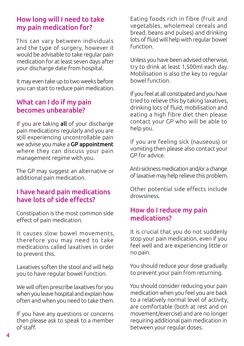#### How long will I need to take my pain medication for?

This can vary between individuals and the type of surgery, however it would be advisable to take regular pain medication for at least seven days after your discharge date from hospital.

It may even take up to two weeks before you can start to reduce pain medication.

#### What can I do if my pain becomes unbearable?

If you are taking all of your discharge pain medications regularly and you are still experiencing uncontrollable pain we advise you make a GP appointment where they can discuss your pain management regime with you.

The GP may suggest an alternative or additional pain medication.

#### I have heard pain medications have lots of side effects?

Constipation is the most common side effect of pain medication.

It causes slow bowel movements, therefore you may need to take medications called laxatives in order to prevent this.

Laxatives soften the stool and will help you to have regular bowel function.

We will often prescribe laxatives for you when you leave hospital and explain how often and when you need to take them.

If you have any questions or concerns then please ask to speak to a member of staff.

Eating foods rich in fibre (fruit and vegetables, wholemeal cereals and bread, beans and pulses) and drinking lots of fluid will help with regular bowel function.

Unless you have been advised otherwise, try to drink at least 1,500ml each day. Mobilisation is also the key to regular bowel function.

If you feel at all constipated and you have tried to relieve this by taking laxatives, drinking lots of fluid, mobilisation and eating a high fibre diet then please contact your GP who will be able to help you.

If you are feeling sick (nauseous) or vomiting then please also contact your GP for advice.

Anti-sickness medication and/or a change of laxative may help relieve this problem.

Other potential side effects include drowsiness.

#### How do I reduce my pain medications?

It is crucial that you do not suddenly stop your pain medication, even if you feel well and are experiencing little or no pain.

You should reduce your dose gradually to prevent your pain from returning.

You should consider reducing your pain medication when you feel you are back to a relatively normal level of activity, are comfortable (both at rest and on movement/exercise) and are no longer requiring additional pain medication in between your regular doses.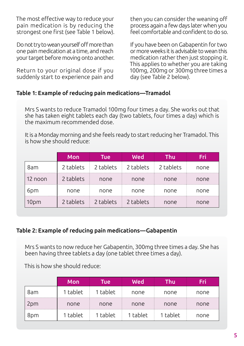The most effective way to reduce your pain medication is by reducing the strongest one first (see Table 1 below).

Do not try to wean yourself off more than one pain medication at a time, and reach your target before moving onto another.

Return to your original dose if you suddenly start to experience pain and then you can consider the weaning off process again a few days later when you feel comfortable and confident to do so.

If you have been on Gabapentin for two or more weeks it is advisable to wean this medication rather then just stopping it. This applies to whether you are taking 100mg, 200mg or 300mg three times a day (see Table 2 below).

#### Table 1: Example of reducing pain medications—Tramadol

Mrs S wants to reduce Tramadol 100mg four times a day. She works out that she has taken eight tablets each day (two tablets, four times a day) which is the maximum recommended dose.

It is a Monday morning and she feels ready to start reducing her Tramadol. This is how she should reduce:

|         | <b>Mon</b> | Tuel      | Wed       | Thu       | Fri  |
|---------|------------|-----------|-----------|-----------|------|
| 8am     | 2 tablets  | 2 tablets | 2 tablets | 2 tablets | none |
| 12 noon | 2 tablets  | none      | none      | none      | none |
|         | none       | none      | none      | none      | none |
| 10pm    | 2 tablets  | 2 tablets | 2 tablets | none      | none |

#### Table 2: Example of reducing pain medications—Gabapentin

Mrs S wants to now reduce her Gabapentin, 300mg three times a day. She has been having three tablets a day (one tablet three times a day).

This is how she should reduce:

|     | Mon      | Tuel     | Wed      | Thu      | 571  |
|-----|----------|----------|----------|----------|------|
| 8am | 1 tablet | 1 tablet | none     | none     | none |
| 2pm | none     | none     | none     | none     | none |
| 8pm | 1 tablet | 1 tablet | 1 tablet | 1 tablet | none |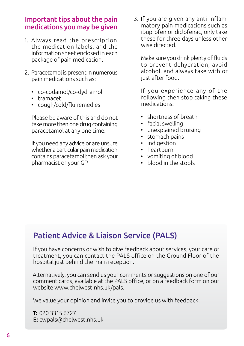#### Important tips about the pain medications you may be given

- 1. Always read the prescription, the medication labels, and the information sheet enclosed in each package of pain medication.
- 2. Paracetamol is present in numerous pain medications such as:
	- co-codamol/co-dydramol
	- tramacet
	- cough/cold/flu remedies

Please be aware of this and do not take more then one drug containing paracetamol at any one time.

If you need any advice or are unsure whether a particular pain medication contains paracetamol then ask your pharmacist or your GP.

3. If you are given any anti-inflammatory pain medications such as ibuprofen or diclofenac, only take these for three days unless otherwise directed.

Make sure you drink plenty of fluids to prevent dehydration, avoid alcohol, and always take with or just after food.

If you experience any of the following then stop taking these medications:

- shortness of breath
- facial swelling
- unexplained bruising
- stomach pains
- indigestion
- heartburn
- vomiting of blood
- blood in the stools

#### Patient Advice & Liaison Service (PALS)

If you have concerns or wish to give feedback about services, your care or treatment, you can contact the PALS office on the Ground Floor of the hospital just behind the main reception.

Alternatively, you can send us your comments or suggestions on one of our comment cards, available at the PALS office, or on a feedback form on our website www.chelwest.nhs.uk/pals.

We value your opinion and invite you to provide us with feedback.

T: 020 3315 6727 E: cwpals@chelwest.nhs.uk